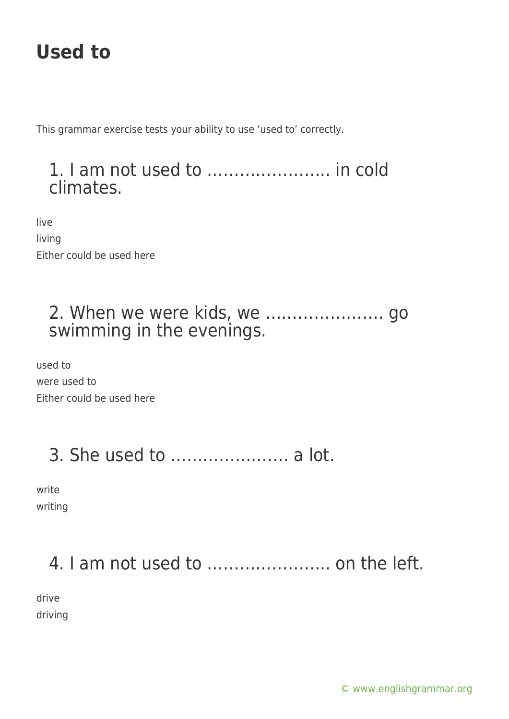This grammar exercise tests your ability to use 'used to' correctly.

#### 1. I am not used to ………………….. in cold climates.

live living Either could be used here

### 2. When we were kids, we …………………. go swimming in the evenings.

used to were used to Either could be used here

# 3. She used to …………………. a lot.

write writing

## 4. I am not used to ........................ on the left.

drive driving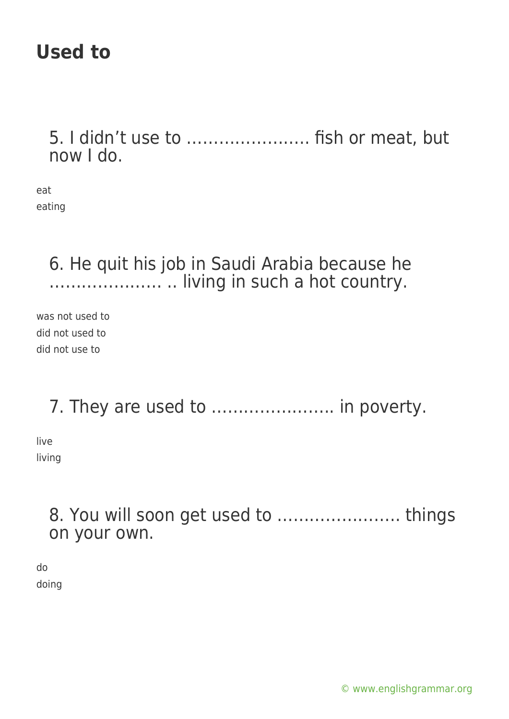5. I didn't use to ………………….. fish or meat, but now I do.

eat eating

#### 6. He quit his job in Saudi Arabia because he ………………… .. living in such a hot country.

was not used to did not used to did not use to

## 7. They are used to ………………….. in poverty.

live living

### 8. You will soon get used to ………………….. things on your own.

do doing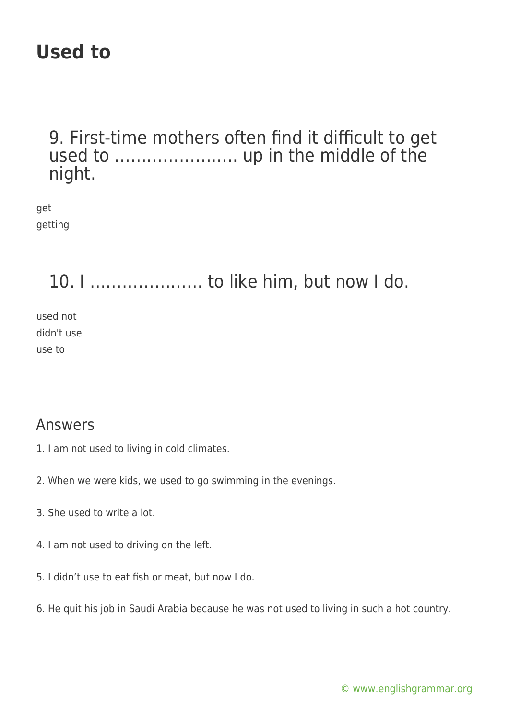#### 9. First-time mothers often find it difficult to get used to ………………….. up in the middle of the night.

get getting

10. I ………………… to like him, but now I do.

used not didn't use use to

#### Answers

- 1. I am not used to living in cold climates.
- 2. When we were kids, we used to go swimming in the evenings.
- 3. She used to write a lot.
- 4. I am not used to driving on the left.
- 5. I didn't use to eat fish or meat, but now I do.
- 6. He quit his job in Saudi Arabia because he was not used to living in such a hot country.